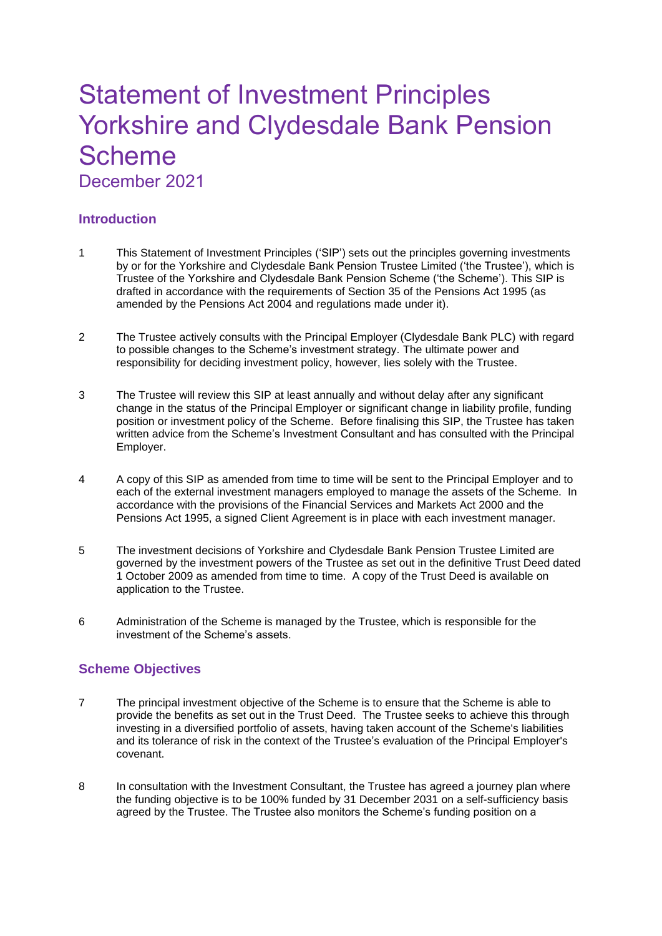# Statement of Investment Principles Yorkshire and Clydesdale Bank Pension Scheme December 2021

# **Introduction**

- 1 This Statement of Investment Principles ('SIP') sets out the principles governing investments by or for the Yorkshire and Clydesdale Bank Pension Trustee Limited ('the Trustee'), which is Trustee of the Yorkshire and Clydesdale Bank Pension Scheme ('the Scheme'). This SIP is drafted in accordance with the requirements of Section 35 of the Pensions Act 1995 (as amended by the Pensions Act 2004 and regulations made under it).
- 2 The Trustee actively consults with the Principal Employer (Clydesdale Bank PLC) with regard to possible changes to the Scheme's investment strategy. The ultimate power and responsibility for deciding investment policy, however, lies solely with the Trustee.
- 3 The Trustee will review this SIP at least annually and without delay after any significant change in the status of the Principal Employer or significant change in liability profile, funding position or investment policy of the Scheme. Before finalising this SIP, the Trustee has taken written advice from the Scheme's Investment Consultant and has consulted with the Principal Employer.
- 4 A copy of this SIP as amended from time to time will be sent to the Principal Employer and to each of the external investment managers employed to manage the assets of the Scheme. In accordance with the provisions of the Financial Services and Markets Act 2000 and the Pensions Act 1995, a signed Client Agreement is in place with each investment manager.
- 5 The investment decisions of Yorkshire and Clydesdale Bank Pension Trustee Limited are governed by the investment powers of the Trustee as set out in the definitive Trust Deed dated 1 October 2009 as amended from time to time. A copy of the Trust Deed is available on application to the Trustee.
- 6 Administration of the Scheme is managed by the Trustee, which is responsible for the investment of the Scheme's assets.

## **Scheme Objectives**

- 7 The principal investment objective of the Scheme is to ensure that the Scheme is able to provide the benefits as set out in the Trust Deed. The Trustee seeks to achieve this through investing in a diversified portfolio of assets, having taken account of the Scheme's liabilities and its tolerance of risk in the context of the Trustee's evaluation of the Principal Employer's covenant.
- 8 In consultation with the Investment Consultant, the Trustee has agreed a journey plan where the funding objective is to be 100% funded by 31 December 2031 on a self-sufficiency basis agreed by the Trustee. The Trustee also monitors the Scheme's funding position on a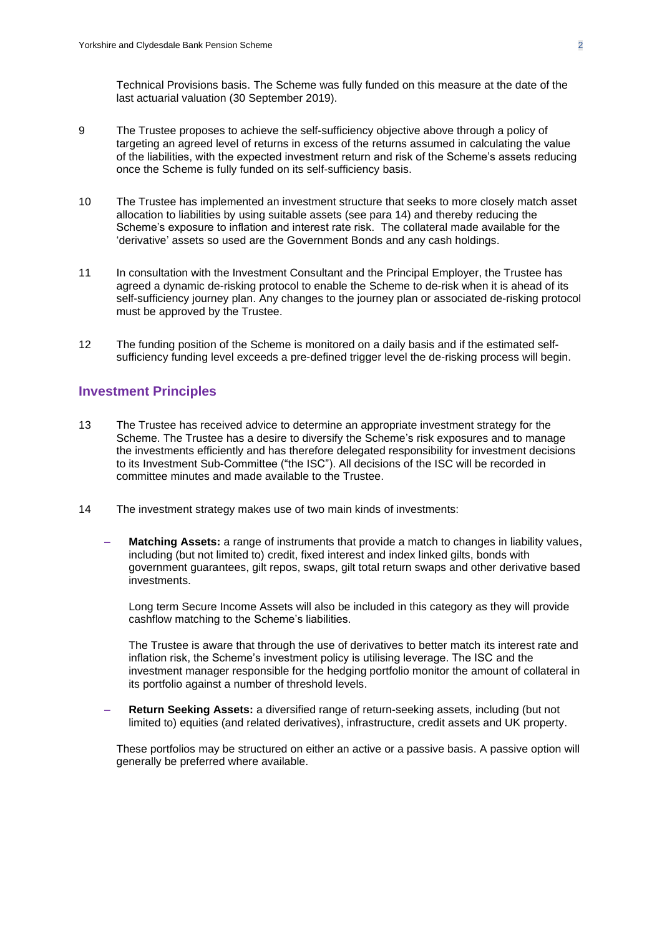Technical Provisions basis. The Scheme was fully funded on this measure at the date of the last actuarial valuation (30 September 2019).

- 9 The Trustee proposes to achieve the self-sufficiency objective above through a policy of targeting an agreed level of returns in excess of the returns assumed in calculating the value of the liabilities, with the expected investment return and risk of the Scheme's assets reducing once the Scheme is fully funded on its self-sufficiency basis.
- 10 The Trustee has implemented an investment structure that seeks to more closely match asset allocation to liabilities by using suitable assets (see para 14) and thereby reducing the Scheme's exposure to inflation and interest rate risk. The collateral made available for the 'derivative' assets so used are the Government Bonds and any cash holdings.
- 11 In consultation with the Investment Consultant and the Principal Employer, the Trustee has agreed a dynamic de-risking protocol to enable the Scheme to de-risk when it is ahead of its self-sufficiency journey plan. Any changes to the journey plan or associated de-risking protocol must be approved by the Trustee.
- 12 The funding position of the Scheme is monitored on a daily basis and if the estimated selfsufficiency funding level exceeds a pre-defined trigger level the de-risking process will begin.

#### **Investment Principles**

- 13 The Trustee has received advice to determine an appropriate investment strategy for the Scheme. The Trustee has a desire to diversify the Scheme's risk exposures and to manage the investments efficiently and has therefore delegated responsibility for investment decisions to its Investment Sub-Committee ("the ISC"). All decisions of the ISC will be recorded in committee minutes and made available to the Trustee.
- 14 The investment strategy makes use of two main kinds of investments:
	- **Matching Assets:** a range of instruments that provide a match to changes in liability values, including (but not limited to) credit, fixed interest and index linked gilts, bonds with government guarantees, gilt repos, swaps, gilt total return swaps and other derivative based investments.

Long term Secure Income Assets will also be included in this category as they will provide cashflow matching to the Scheme's liabilities.

The Trustee is aware that through the use of derivatives to better match its interest rate and inflation risk, the Scheme's investment policy is utilising leverage. The ISC and the investment manager responsible for the hedging portfolio monitor the amount of collateral in its portfolio against a number of threshold levels.

– **Return Seeking Assets:** a diversified range of return-seeking assets, including (but not limited to) equities (and related derivatives), infrastructure, credit assets and UK property.

These portfolios may be structured on either an active or a passive basis. A passive option will generally be preferred where available.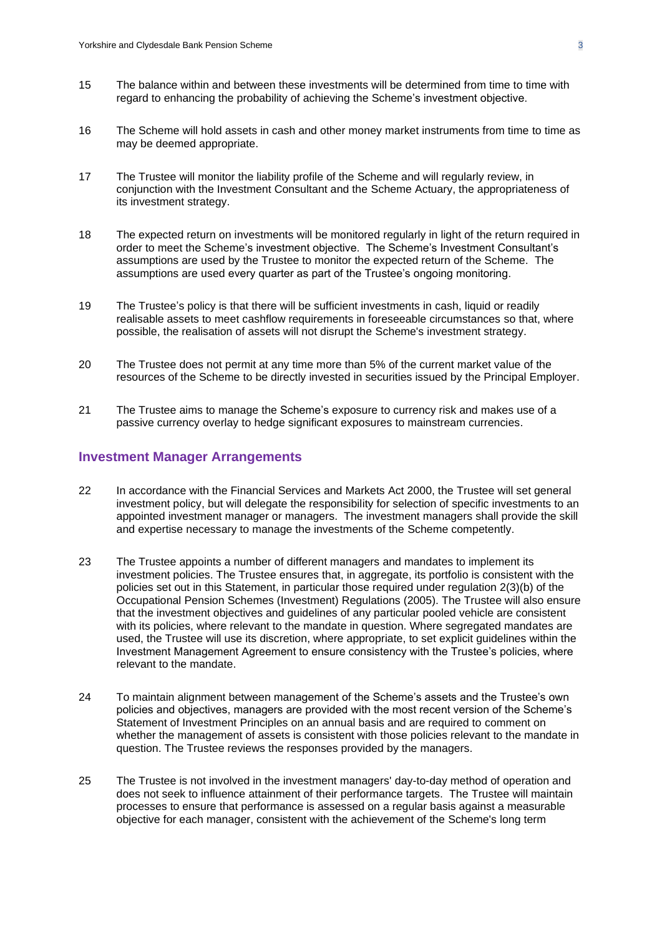- 15 The balance within and between these investments will be determined from time to time with regard to enhancing the probability of achieving the Scheme's investment objective.
- 16 The Scheme will hold assets in cash and other money market instruments from time to time as may be deemed appropriate.
- 17 The Trustee will monitor the liability profile of the Scheme and will regularly review, in conjunction with the Investment Consultant and the Scheme Actuary, the appropriateness of its investment strategy.
- 18 The expected return on investments will be monitored regularly in light of the return required in order to meet the Scheme's investment objective. The Scheme's Investment Consultant's assumptions are used by the Trustee to monitor the expected return of the Scheme. The assumptions are used every quarter as part of the Trustee's ongoing monitoring.
- 19 The Trustee's policy is that there will be sufficient investments in cash, liquid or readily realisable assets to meet cashflow requirements in foreseeable circumstances so that, where possible, the realisation of assets will not disrupt the Scheme's investment strategy.
- 20 The Trustee does not permit at any time more than 5% of the current market value of the resources of the Scheme to be directly invested in securities issued by the Principal Employer.
- 21 The Trustee aims to manage the Scheme's exposure to currency risk and makes use of a passive currency overlay to hedge significant exposures to mainstream currencies.

## **Investment Manager Arrangements**

- 22 In accordance with the Financial Services and Markets Act 2000, the Trustee will set general investment policy, but will delegate the responsibility for selection of specific investments to an appointed investment manager or managers. The investment managers shall provide the skill and expertise necessary to manage the investments of the Scheme competently.
- 23 The Trustee appoints a number of different managers and mandates to implement its investment policies. The Trustee ensures that, in aggregate, its portfolio is consistent with the policies set out in this Statement, in particular those required under regulation 2(3)(b) of the Occupational Pension Schemes (Investment) Regulations (2005). The Trustee will also ensure that the investment objectives and guidelines of any particular pooled vehicle are consistent with its policies, where relevant to the mandate in question. Where segregated mandates are used, the Trustee will use its discretion, where appropriate, to set explicit guidelines within the Investment Management Agreement to ensure consistency with the Trustee's policies, where relevant to the mandate.
- 24 To maintain alignment between management of the Scheme's assets and the Trustee's own policies and objectives, managers are provided with the most recent version of the Scheme's Statement of Investment Principles on an annual basis and are required to comment on whether the management of assets is consistent with those policies relevant to the mandate in question. The Trustee reviews the responses provided by the managers.
- 25 The Trustee is not involved in the investment managers' day-to-day method of operation and does not seek to influence attainment of their performance targets. The Trustee will maintain processes to ensure that performance is assessed on a regular basis against a measurable objective for each manager, consistent with the achievement of the Scheme's long term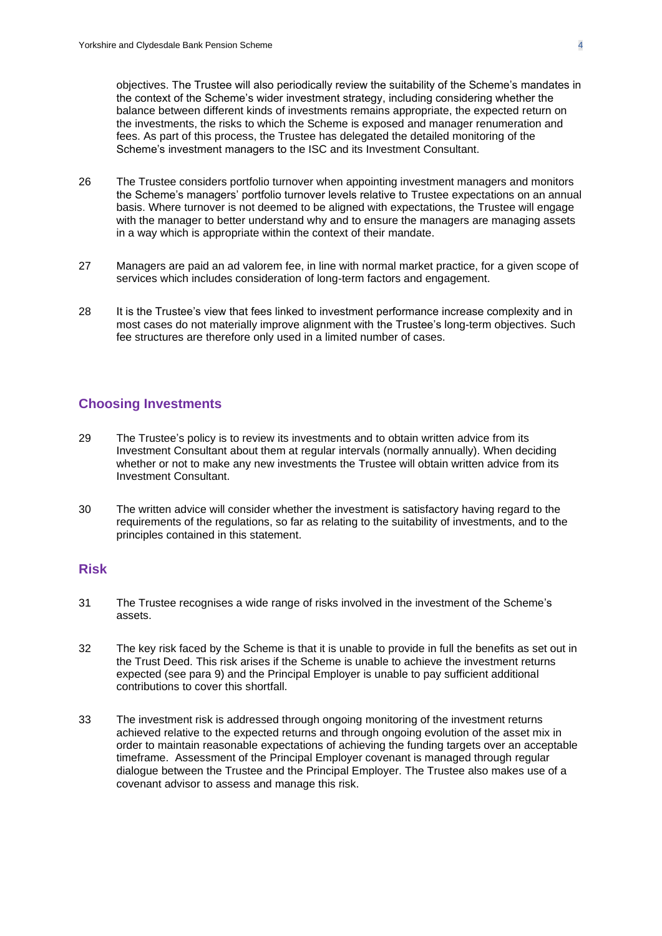objectives. The Trustee will also periodically review the suitability of the Scheme's mandates in the context of the Scheme's wider investment strategy, including considering whether the balance between different kinds of investments remains appropriate, the expected return on the investments, the risks to which the Scheme is exposed and manager renumeration and fees. As part of this process, the Trustee has delegated the detailed monitoring of the Scheme's investment managers to the ISC and its Investment Consultant.

- 26 The Trustee considers portfolio turnover when appointing investment managers and monitors the Scheme's managers' portfolio turnover levels relative to Trustee expectations on an annual basis. Where turnover is not deemed to be aligned with expectations, the Trustee will engage with the manager to better understand why and to ensure the managers are managing assets in a way which is appropriate within the context of their mandate.
- 27 Managers are paid an ad valorem fee, in line with normal market practice, for a given scope of services which includes consideration of long-term factors and engagement.
- 28 It is the Trustee's view that fees linked to investment performance increase complexity and in most cases do not materially improve alignment with the Trustee's long-term objectives. Such fee structures are therefore only used in a limited number of cases.

## **Choosing Investments**

- 29 The Trustee's policy is to review its investments and to obtain written advice from its Investment Consultant about them at regular intervals (normally annually). When deciding whether or not to make any new investments the Trustee will obtain written advice from its Investment Consultant.
- 30 The written advice will consider whether the investment is satisfactory having regard to the requirements of the regulations, so far as relating to the suitability of investments, and to the principles contained in this statement.

## **Risk**

- 31 The Trustee recognises a wide range of risks involved in the investment of the Scheme's assets.
- 32 The key risk faced by the Scheme is that it is unable to provide in full the benefits as set out in the Trust Deed. This risk arises if the Scheme is unable to achieve the investment returns expected (see para 9) and the Principal Employer is unable to pay sufficient additional contributions to cover this shortfall.
- 33 The investment risk is addressed through ongoing monitoring of the investment returns achieved relative to the expected returns and through ongoing evolution of the asset mix in order to maintain reasonable expectations of achieving the funding targets over an acceptable timeframe. Assessment of the Principal Employer covenant is managed through regular dialogue between the Trustee and the Principal Employer. The Trustee also makes use of a covenant advisor to assess and manage this risk.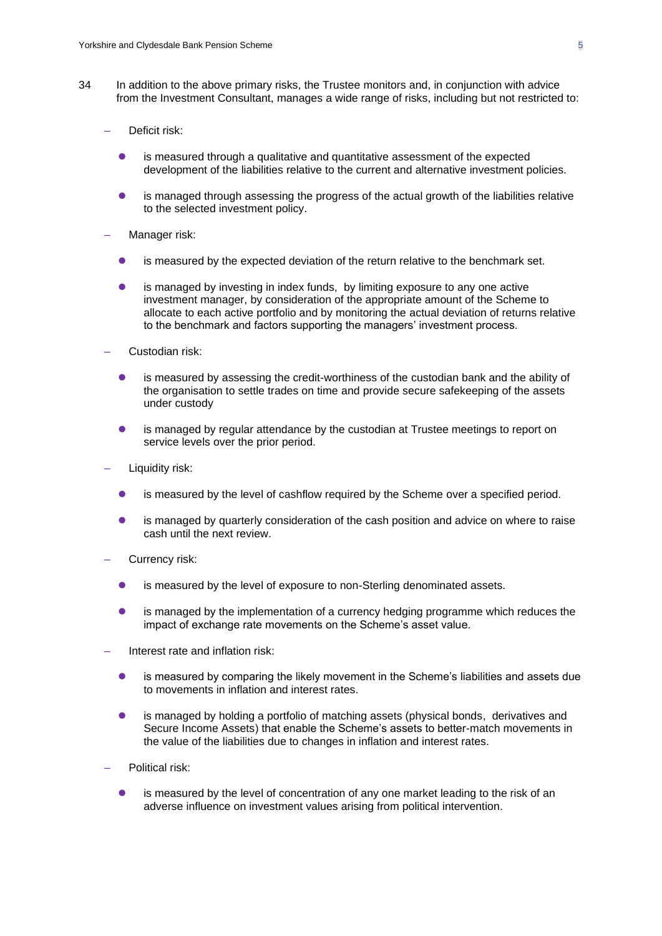- 34 In addition to the above primary risks, the Trustee monitors and, in conjunction with advice from the Investment Consultant, manages a wide range of risks, including but not restricted to:
	- Deficit risk:
		- is measured through a qualitative and quantitative assessment of the expected development of the liabilities relative to the current and alternative investment policies.
		- ⚫ is managed through assessing the progress of the actual growth of the liabilities relative to the selected investment policy.
	- Manager risk:
		- ⚫ is measured by the expected deviation of the return relative to the benchmark set.
		- ⚫ is managed by investing in index funds, by limiting exposure to any one active investment manager, by consideration of the appropriate amount of the Scheme to allocate to each active portfolio and by monitoring the actual deviation of returns relative to the benchmark and factors supporting the managers' investment process.
	- Custodian risk:
		- ⚫ is measured by assessing the credit-worthiness of the custodian bank and the ability of the organisation to settle trades on time and provide secure safekeeping of the assets under custody
		- is managed by regular attendance by the custodian at Trustee meetings to report on service levels over the prior period.
	- Liquidity risk:
		- is measured by the level of cashflow required by the Scheme over a specified period.
		- is managed by quarterly consideration of the cash position and advice on where to raise cash until the next review.
	- Currency risk:
		- is measured by the level of exposure to non-Sterling denominated assets.
		- ⚫ is managed by the implementation of a currency hedging programme which reduces the impact of exchange rate movements on the Scheme's asset value.
	- Interest rate and inflation risk:
		- is measured by comparing the likely movement in the Scheme's liabilities and assets due to movements in inflation and interest rates.
		- is managed by holding a portfolio of matching assets (physical bonds, derivatives and Secure Income Assets) that enable the Scheme's assets to better-match movements in the value of the liabilities due to changes in inflation and interest rates.
	- Political risk:
		- is measured by the level of concentration of any one market leading to the risk of an adverse influence on investment values arising from political intervention.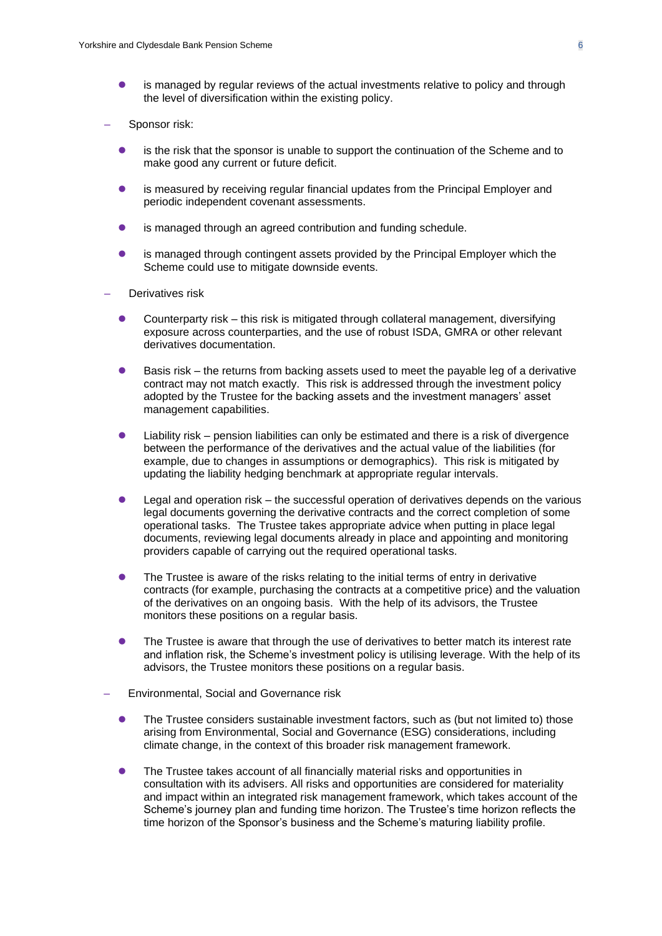- is managed by regular reviews of the actual investments relative to policy and through the level of diversification within the existing policy.
- Sponsor risk:
	- ⚫ is the risk that the sponsor is unable to support the continuation of the Scheme and to make good any current or future deficit.
	- ⚫ is measured by receiving regular financial updates from the Principal Employer and periodic independent covenant assessments.
	- ⚫ is managed through an agreed contribution and funding schedule.
	- is managed through contingent assets provided by the Principal Employer which the Scheme could use to mitigate downside events.
- Derivatives risk
	- ⚫ Counterparty risk this risk is mitigated through collateral management, diversifying exposure across counterparties, and the use of robust ISDA, GMRA or other relevant derivatives documentation.
	- Basis risk the returns from backing assets used to meet the payable leg of a derivative contract may not match exactly. This risk is addressed through the investment policy adopted by the Trustee for the backing assets and the investment managers' asset management capabilities.
	- ⚫ Liability risk pension liabilities can only be estimated and there is a risk of divergence between the performance of the derivatives and the actual value of the liabilities (for example, due to changes in assumptions or demographics). This risk is mitigated by updating the liability hedging benchmark at appropriate regular intervals.
	- ⚫ Legal and operation risk the successful operation of derivatives depends on the various legal documents governing the derivative contracts and the correct completion of some operational tasks. The Trustee takes appropriate advice when putting in place legal documents, reviewing legal documents already in place and appointing and monitoring providers capable of carrying out the required operational tasks.
	- ⚫ The Trustee is aware of the risks relating to the initial terms of entry in derivative contracts (for example, purchasing the contracts at a competitive price) and the valuation of the derivatives on an ongoing basis. With the help of its advisors, the Trustee monitors these positions on a regular basis.
	- **•** The Trustee is aware that through the use of derivatives to better match its interest rate and inflation risk, the Scheme's investment policy is utilising leverage. With the help of its advisors, the Trustee monitors these positions on a regular basis.
- Environmental, Social and Governance risk
	- ⚫ The Trustee considers sustainable investment factors, such as (but not limited to) those arising from Environmental, Social and Governance (ESG) considerations, including climate change, in the context of this broader risk management framework.
	- ⚫ The Trustee takes account of all financially material risks and opportunities in consultation with its advisers. All risks and opportunities are considered for materiality and impact within an integrated risk management framework, which takes account of the Scheme's journey plan and funding time horizon. The Trustee's time horizon reflects the time horizon of the Sponsor's business and the Scheme's maturing liability profile.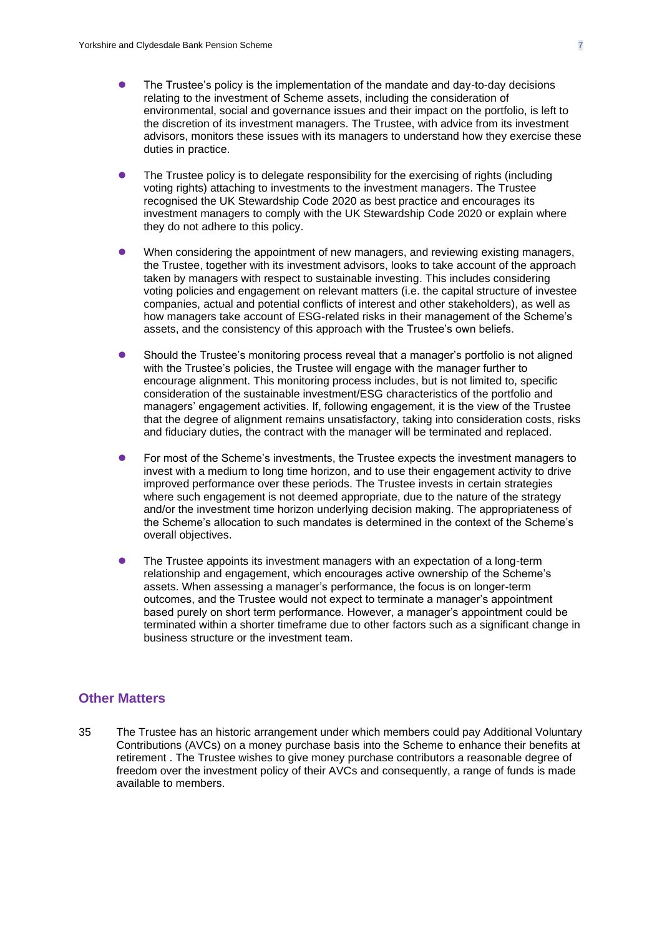- ⚫ The Trustee's policy is the implementation of the mandate and day-to-day decisions relating to the investment of Scheme assets, including the consideration of environmental, social and governance issues and their impact on the portfolio, is left to the discretion of its investment managers. The Trustee, with advice from its investment advisors, monitors these issues with its managers to understand how they exercise these duties in practice.
- ⚫ The Trustee policy is to delegate responsibility for the exercising of rights (including voting rights) attaching to investments to the investment managers. The Trustee recognised the UK Stewardship Code 2020 as best practice and encourages its investment managers to comply with the UK Stewardship Code 2020 or explain where they do not adhere to this policy.
- ⚫ When considering the appointment of new managers, and reviewing existing managers, the Trustee, together with its investment advisors, looks to take account of the approach taken by managers with respect to sustainable investing. This includes considering voting policies and engagement on relevant matters (i.e. the capital structure of investee companies, actual and potential conflicts of interest and other stakeholders), as well as how managers take account of ESG-related risks in their management of the Scheme's assets, and the consistency of this approach with the Trustee's own beliefs.
- ⚫ Should the Trustee's monitoring process reveal that a manager's portfolio is not aligned with the Trustee's policies, the Trustee will engage with the manager further to encourage alignment. This monitoring process includes, but is not limited to, specific consideration of the sustainable investment/ESG characteristics of the portfolio and managers' engagement activities. If, following engagement, it is the view of the Trustee that the degree of alignment remains unsatisfactory, taking into consideration costs, risks and fiduciary duties, the contract with the manager will be terminated and replaced.
- For most of the Scheme's investments, the Trustee expects the investment managers to invest with a medium to long time horizon, and to use their engagement activity to drive improved performance over these periods. The Trustee invests in certain strategies where such engagement is not deemed appropriate, due to the nature of the strategy and/or the investment time horizon underlying decision making. The appropriateness of the Scheme's allocation to such mandates is determined in the context of the Scheme's overall objectives.
- ⚫ The Trustee appoints its investment managers with an expectation of a long-term relationship and engagement, which encourages active ownership of the Scheme's assets. When assessing a manager's performance, the focus is on longer-term outcomes, and the Trustee would not expect to terminate a manager's appointment based purely on short term performance. However, a manager's appointment could be terminated within a shorter timeframe due to other factors such as a significant change in business structure or the investment team.

#### **Other Matters**

35 The Trustee has an historic arrangement under which members could pay Additional Voluntary Contributions (AVCs) on a money purchase basis into the Scheme to enhance their benefits at retirement . The Trustee wishes to give money purchase contributors a reasonable degree of freedom over the investment policy of their AVCs and consequently, a range of funds is made available to members.